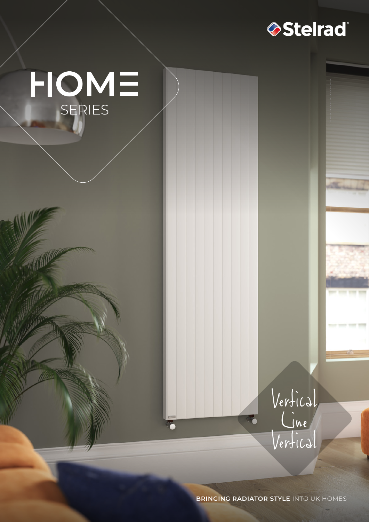

# $HOME$ <br>SERIES

Vertical  $C_{\text{line}}$ Vertical

**BRINGING RADIATOR STYLE** INTO UK HOMES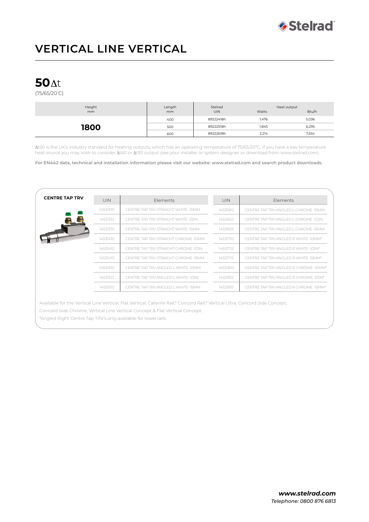

# **VERTICAL LINE VERTICAL**

## **50**

(75/65/20º C)

| Height<br>mm | Length<br>mm | Stelrad<br><b>UIN</b> | Heat output<br>Watts | Btu/h |
|--------------|--------------|-----------------------|----------------------|-------|
| 1800         | 400          | 89222418h             | 1,476                | 5,036 |
|              | 500          | 89222518h             | 1,845                | 6,295 |
|              | 600          | 89222618h             | 2,214                | 7,554 |

t50 is the UK's industry standard for heating outputs, which has an operating temperature of 75/65/20ºC. If you have a low temperature heat source you may wish to consider  $\Delta t40$  or  $\Delta t30$  output (see your installer or system designer or download from www.stelrad.com).

**For EN442 data, technical and installation information please visit our website: www.stelrad.com and search product downloads.**

| <b>CENTRE TAP TRV</b> | <b>UIN</b> | <b>Flements</b>                       | <b>UIN</b> | Flements                               |
|-----------------------|------------|---------------------------------------|------------|----------------------------------------|
|                       | 14531310   | CENTRE TAP TRV STRAIGHT WHITE -10MM   | 14531610   | CENTRE TAP TRV ANGLED L CHROME -10MM   |
|                       | 14531312   | CENTRE TAP TRV STRAIGHT WHITE -1/2IN  | 14531612   | CENTRE TAP TRV ANGLED L CHROME -1/2IN  |
|                       | 14531315   | CENTRE TAP TRV STRAIGHT WHITE -15MM   | 14531615   | CENTRE TAP TRV ANGLED L CHROME -15MM   |
|                       | 14531410   | CENTRE TAP TRV STRAIGHT CHROME -10MM  | 14531710   | CENTRE TAP TRV ANGLED R WHITE -10MM*   |
|                       | 14531412   | CENTRE TAP TRV STRAIGHT CHROME -1/2IN | 14531712   | CENTRE TAP TRV ANGLED R WHITE -1/2IN*  |
|                       | 14531415   | CENTRE TAP TRV STRAIGHT CHROME -15MM  | 14531715   | CENTRE TAP TRV ANGLED R WHITE -15MM*   |
|                       | 14531510   | CENTRE TAP TRV ANGLED L WHITE -10MM   | 14531810   | CENTRE TAP TRV ANGLED R CHROME -10MM*  |
|                       | 14531512   | CENTRE TAP TRV ANGLED L WHITE -1/2IN  | 14531812   | CENTRE TAP TRV ANGLED R CHROME -1/2IN* |
|                       | 14531515   | CENTRE TAP TRV ANGLED L WHITE -15MM   | 14531815   | CENTRE TAP TRV ANGLED R CHROME -15MM*  |
|                       |            |                                       |            |                                        |

Available for the Vertical Line Vertical, Flat Vertical, Caliente Rail,\* Concord Rail,\* Vertical Ultra, Concord Side Concept, Concord Side Chrome, Vertical Line Vertical Concept & Flat Vertical Concept.

\*Angled Right Centre Tap TRV's only available for towel rails.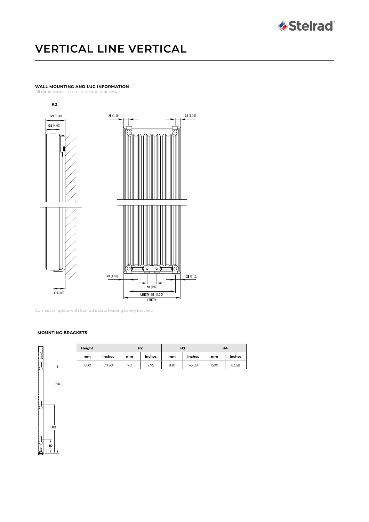

# **VERTICAL LINE VERTICAL**

## **WALL MOUNTING AND LUG INFORMATION**

All dimensions in mm. Inches in brackets.





Comes complete with Stelrad's class leading safety bracket.

#### **MOUNTING BRACKETS**



| Height |        | H <sub>2</sub> |        | H <sub>3</sub> |        | H4   |        |
|--------|--------|----------------|--------|----------------|--------|------|--------|
| mm     | inches | mm             | inches | mm             | inches | mm   | inches |
| 1800   | 70.90  | 70             | 2.75   | 830            | 43.89  | 1590 | 63.58  |